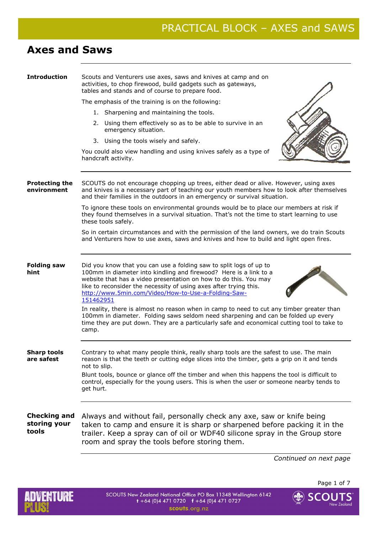# **Axes and Saws**

| <b>Introduction</b>                          | Scouts and Venturers use axes, saws and knives at camp and on<br>activities, to chop firewood, build gadgets such as gateways,<br>tables and stands and of course to prepare food.                                                                                                                                                                                                                              |
|----------------------------------------------|-----------------------------------------------------------------------------------------------------------------------------------------------------------------------------------------------------------------------------------------------------------------------------------------------------------------------------------------------------------------------------------------------------------------|
|                                              | The emphasis of the training is on the following:                                                                                                                                                                                                                                                                                                                                                               |
|                                              | 1. Sharpening and maintaining the tools.                                                                                                                                                                                                                                                                                                                                                                        |
|                                              | 2. Using them effectively so as to be able to survive in an<br>emergency situation.                                                                                                                                                                                                                                                                                                                             |
|                                              | 3. Using the tools wisely and safely.                                                                                                                                                                                                                                                                                                                                                                           |
|                                              | You could also view handling and using knives safely as a type of<br>handcraft activity.                                                                                                                                                                                                                                                                                                                        |
| <b>Protecting the</b><br>environment         | SCOUTS do not encourage chopping up trees, either dead or alive. However, using axes<br>and knives is a necessary part of teaching our youth members how to look after themselves<br>and their families in the outdoors in an emergency or survival situation.                                                                                                                                                  |
|                                              | To ignore these tools on environmental grounds would be to place our members at risk if<br>they found themselves in a survival situation. That's not the time to start learning to use<br>these tools safely.                                                                                                                                                                                                   |
|                                              | So in certain circumstances and with the permission of the land owners, we do train Scouts<br>and Venturers how to use axes, saws and knives and how to build and light open fires.                                                                                                                                                                                                                             |
| <b>Folding saw</b><br>hint                   | Did you know that you can use a folding saw to split logs of up to<br>100mm in diameter into kindling and firewood? Here is a link to a<br>website that has a video presentation on how to do this. You may<br>like to reconsider the necessity of using axes after trying this.<br>http://www.5min.com/Video/How-to-Use-a-Folding-Saw-<br>151462951                                                            |
|                                              | In reality, there is almost no reason when in camp to need to cut any timber greater than<br>100mm in diameter. Folding saws seldom need sharpening and can be folded up every<br>time they are put down. They are a particularly safe and economical cutting tool to take to<br>camp.                                                                                                                          |
| Siidrp toois<br>are safest                   | Contrary to what many people think, really sharp tools are the safest to use. The main<br>reason is that the teeth or cutting edge slices into the timber, gets a grip on it and tends<br>not to slip.<br>Blunt tools, bounce or glance off the timber and when this happens the tool is difficult to<br>control, especially for the young users. This is when the user or someone nearby tends to<br>get hurt. |
| <b>Checking and</b><br>storing your<br>tools | Always and without fail, personally check any axe, saw or knife being<br>taken to camp and ensure it is sharp or sharpened before packing it in the<br>trailer. Keep a spray can of oil or WDF40 silicone spray in the Group store<br>room and spray the tools before storing them.                                                                                                                             |

*Continued on next page* 



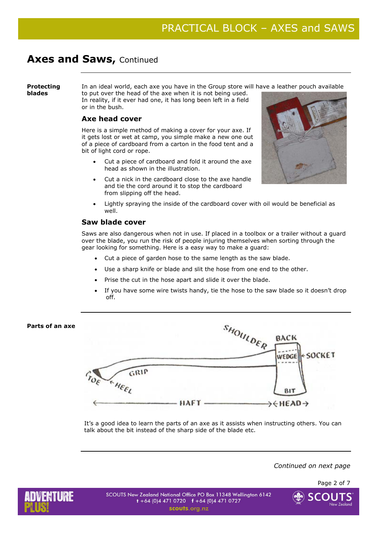### **Protecting blades**

In an ideal world, each axe you have in the Group store will have a leather pouch available

to put over the head of the axe when it is not being used. In reality, if it ever had one, it has long been left in a field or in the bush.

## **Axe head cover**

Here is a simple method of making a cover for your axe. If it gets lost or wet at camp, you simple make a new one out of a piece of cardboard from a carton in the food tent and a bit of light cord or rope.

- Cut a piece of cardboard and fold it around the axe head as shown in the illustration.
- Cut a nick in the cardboard close to the axe handle and tie the cord around it to stop the cardboard from slipping off the head.



• Lightly spraying the inside of the cardboard cover with oil would be beneficial as well.

## **Saw blade cover**

Saws are also dangerous when not in use. If placed in a toolbox or a trailer without a guard over the blade, you run the risk of people injuring themselves when sorting through the gear looking for something. Here is a easy way to make a guard:

- Cut a piece of garden hose to the same length as the saw blade.
- Use a sharp knife or blade and slit the hose from one end to the other.
- Prise the cut in the hose apart and slide it over the blade.
- If you have some wire twists handy, tie the hose to the saw blade so it doesn't drop off.

## SHOULDER **Parts of an axe**  BACK SOCKET WEDGE GRIP **KHEEL** B<sub>1</sub>

HAFT-→←HEAD→

It's a good idea to learn the parts of an axe as it assists when instructing others. You can talk about the bit instead of the sharp side of the blade etc.

*Continued on next page* 

Page 2 of 7



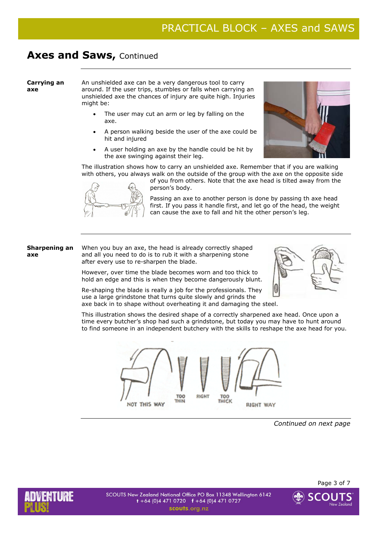### **Carrying an axe**

An unshielded axe can be a very dangerous tool to carry around. If the user trips, stumbles or falls when carrying an unshielded axe the chances of injury are quite high. Injuries might be:

- The user may cut an arm or leg by falling on the axe.
- A person walking beside the user of the axe could be hit and injured
- A user holding an axe by the handle could be hit by the axe swinging against their leg.



The illustration shows how to carry an unshielded axe. Remember that if you are walking with others, you always walk on the outside of the group with the axe on the opposite side



of you from others. Note that the axe head is tilted away from the person's body.

Passing an axe to another person is done by passing th axe head first. If you pass it handle first, and let go of the head, the weight can cause the axe to fall and hit the other person's leg.

### **Sharpening an axe**

and all you need to do is to rub it with a sharpening stone after every use to re-sharpen the blade.

However, over time the blade becomes worn and too thick to hold an edge and this is when they become dangerously blunt.

When you buy an axe, the head is already correctly shaped



Re-shaping the blade is really a job for the professionals. They use a large grindstone that turns quite slowly and grinds the axe back in to shape without overheating it and damaging the steel.

This illustration shows the desired shape of a correctly sharpened axe head. Once upon a time every butcher's shop had such a grindstone, but today you may have to hunt around to find someone in an independent butchery with the skills to reshape the axe head for you.



*Continued on next page* 



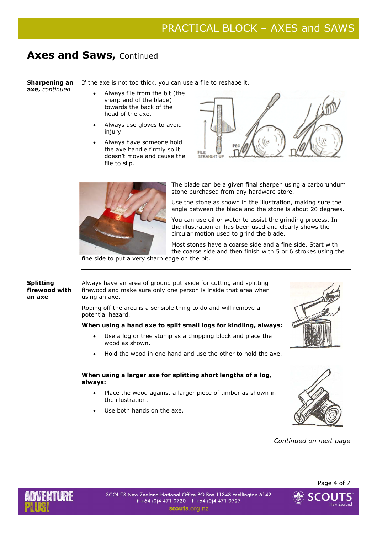**Sharpening an axe,** *continued*

If the axe is not too thick, you can use a file to reshape it.

- Always file from the bit (the sharp end of the blade) towards the back of the head of the axe.
- Always use gloves to avoid injury
- Always have someone hold the axe handle firmly so it doesn't move and cause the file to slip.





The blade can be a given final sharpen using a carborundum stone purchased from any hardware store.

Use the stone as shown in the illustration, making sure the angle between the blade and the stone is about 20 degrees.

You can use oil or water to assist the grinding process. In the illustration oil has been used and clearly shows the circular motion used to grind the blade.

Most stones have a coarse side and a fine side. Start with the coarse side and then finish with 5 or 6 strokes using the

fine side to put a very sharp edge on the bit.

**Splitting firewood with an axe** 

Always have an area of ground put aside for cutting and splitting firewood and make sure only one person is inside that area when using an axe.

Roping off the area is a sensible thing to do and will remove a potential hazard.

### **When using a hand axe to split small logs for kindling, always:**

- Use a log or tree stump as a chopping block and place the wood as shown.
- Hold the wood in one hand and use the other to hold the axe.

### **When using a larger axe for splitting short lengths of a log, always:**

- Place the wood against a larger piece of timber as shown in the illustration.
- Use both hands on the axe.





*Continued on next page* 



Page 4 of 7

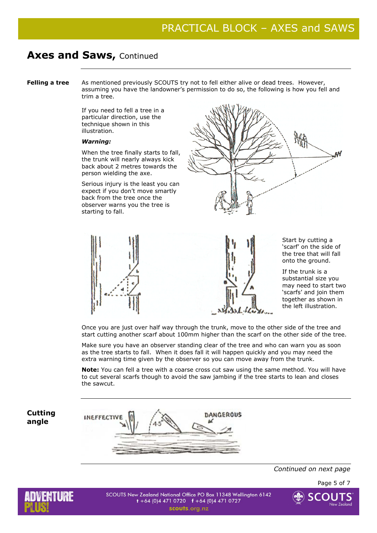**Felling a tree** As mentioned previously SCOUTS try not to fell either alive or dead trees. However, assuming you have the landowner's permission to do so, the following is how you fell and trim a tree.

> If you need to fell a tree in a particular direction, use the technique shown in this illustration.

### *Warning:*

When the tree finally starts to fall, the trunk will nearly always kick back about 2 metres towards the person wielding the axe.

Serious injury is the least you can expect if you don't move smartly back from the tree once the observer warns you the tree is starting to fall.





Start by cutting a 'scarf' on the side of the tree that will fall onto the ground.

If the trunk is a substantial size you may need to start two 'scarfs' and join them together as shown in the left illustration.

Once you are just over half way through the trunk, move to the other side of the tree and start cutting another scarf about 100mm higher than the scarf on the other side of the tree.

Make sure you have an observer standing clear of the tree and who can warn you as soon as the tree starts to fall. When it does fall it will happen quickly and you may need the extra warning time given by the observer so you can move away from the trunk.

**Note:** You can fell a tree with a coarse cross cut saw using the same method. You will have to cut several scarfs though to avoid the saw jambing if the tree starts to lean and closes the sawcut.

**Cutting angle** 



*Continued on next page* 

Page 5 of 7



SCOUTS New Zealand National Office PO Box 11348 Wellington 6142  $t + 64$  (0)4 471 0720  $t + 64$  (0)4 471 0727 scouts.org.nz

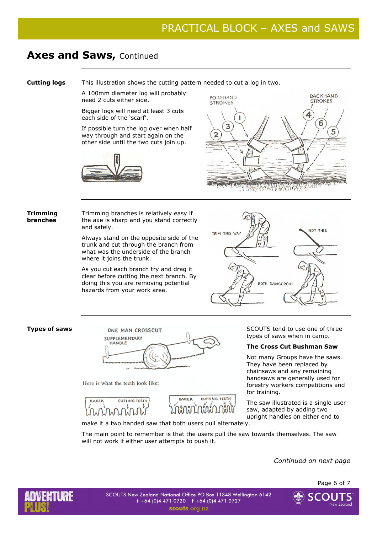**Cutting logs** This illustration shows the cutting pattern needed to cut a log in two.

A 100mm diameter log will probably need 2 cuts either side.

Bigger logs will need at least 3 cuts each side of the 'scarf'.

If possible turn the log over when half way through and start again on the other side until the two cuts join up.





### **Trimming branches**

Trimming branches is relatively easy if the axe is sharp and you stand correctly and safely.

Always stand on the opposite side of the trunk and cut through the branch from what was the underside of the branch where it joins the trunk.

As you cut each branch try and drag it clear before cutting the next branch. By doing this you are removing potential hazards from your work area.





Here is what the teeth look like:





types of saws when in camp.

### **The Cross Cut Bushman Saw**

Not many Groups have the saws. They have been replaced by chainsaws and any remaining handsaws are generally used for forestry workers competitions and for training.

The saw illustrated is a single user saw, adapted by adding two upright handles on either end to

make it a two handed saw that both users pull alternately.

The main point to remember is that the users pull the saw towards themselves. The saw will not work if either user attempts to push it.

*Continued on next page*